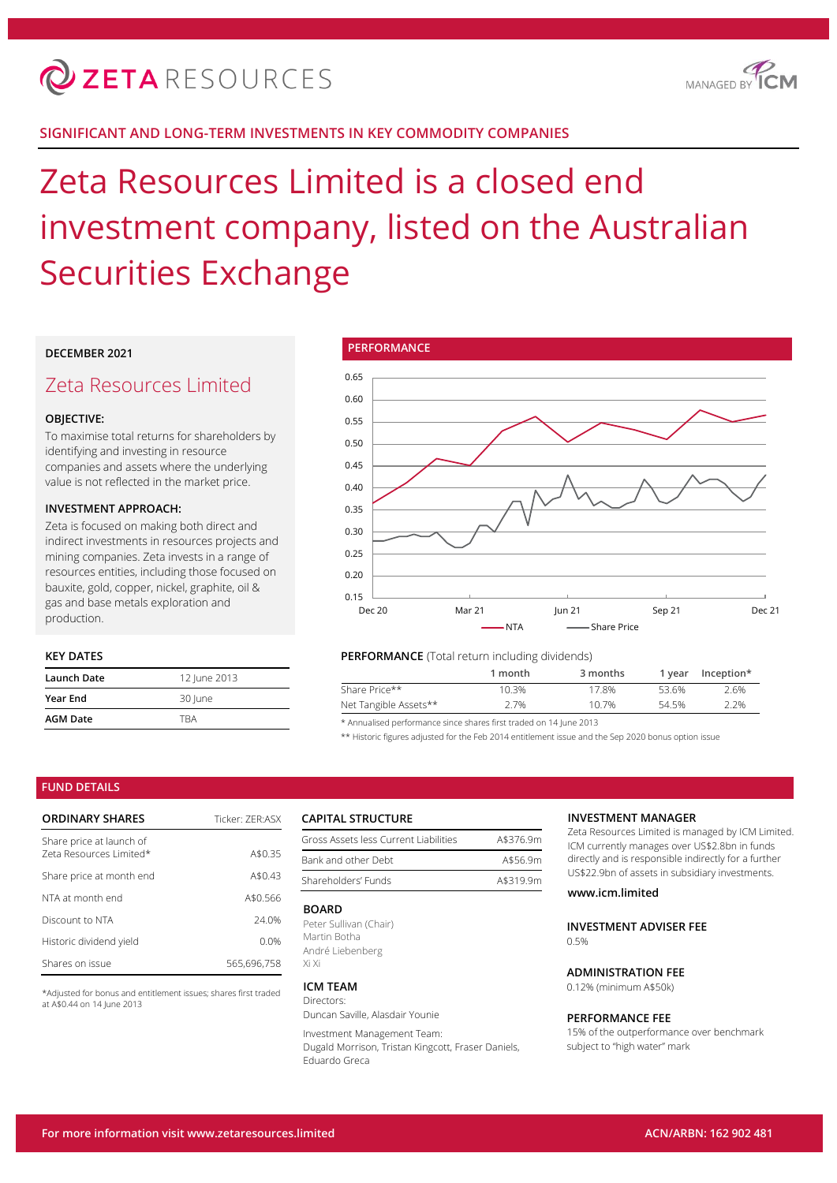

## **SIGNIFICANT AND LONG-TERM INVESTMENTS IN KEY COMMODITY COMPANIES**

# Zeta Resources Limited is a closed end investment company, listed on the Australian Securities Exchange

## **DECEMBER 2021**

## Zeta Resources Limited

## **OBJECTIVE:**

To maximise total returns for shareholders by identifying and investing in resource companies and assets where the underlying value is not reflected in the market price.

## **INVESTMENT APPROACH:**

Zeta is focused on making both direct and indirect investments in resources projects and mining companies. Zeta invests in a range of resources entities, including those focused on bauxite, gold, copper, nickel, graphite, oil & gas and base metals exploration and production.

## **KEY DATES**

| Launch Date     | 12 June 2013 |
|-----------------|--------------|
| <b>Year End</b> | 30 June      |
| <b>AGM Date</b> | <b>TRA</b>   |



## **PERFORMANCE** (Total return including dividends)

|                       | 1 month | 3 months | 1 vear | Inception* |
|-----------------------|---------|----------|--------|------------|
| Share Price**         | 10.3%   | 17.8%    | 53.6%  | 2.6%       |
| Net Tangible Assets** | 2.7%    | 10.7%    | 54.5%  | 2.2%       |
|                       |         |          |        |            |

\* Annualised performance since shares first traded on 14 June 2013

\*\* Historic figures adjusted for the Feb 2014 entitlement issue and the Sep 2020 bonus option issue

## **FUND DETAILS**

| <b>ORDINARY SHARES</b>                              | Ticker: 7FR:ASX |
|-----------------------------------------------------|-----------------|
| Share price at launch of<br>Zeta Resources Limited* | A\$0.35         |
| Share price at month end                            | A\$0.43         |
| NTA at month end                                    | A\$0.566        |
| Discount to NTA                                     | 24.0%           |
| Historic dividend yield                             | 0.0%            |
| Shares on issue                                     | 565.696.758     |

\*Adjusted for bonus and entitlement issues; shares first traded at A\$0.44 on 14 June 2013

## **CAPITAL STRUCTURE**

| Gross Assets less Current Liabilities | A\$376.9m |
|---------------------------------------|-----------|
| Bank and other Debt                   | A\$56.9m  |
| Shareholders' Funds                   | A\$319.9m |

#### **BOARD**

Peter Sullivan (Chair) Martin Botha André Liebenberg Xi Xi

#### **ICM TEAM** Directors:

Duncan Saville, Alasdair Younie

Investment Management Team: Dugald Morrison, Tristan Kingcott, Fraser Daniels, Eduardo Greca

#### **INVESTMENT MANAGER**

Zeta Resources Limited is managed by ICM Limited. ICM currently manages over US\$2.8bn in funds directly and is responsible indirectly for a further US\$22.9bn of assets in subsidiary investments.

## **www.icm.limited**

**INVESTMENT ADVISER FEE**  $0.5%$ 

## **ADMINISTRATION FEE**

0.12% (minimum A\$50k)

#### **PERFORMANCE FEE**

15% of the outperformance over benchmark subject to "high water" mark